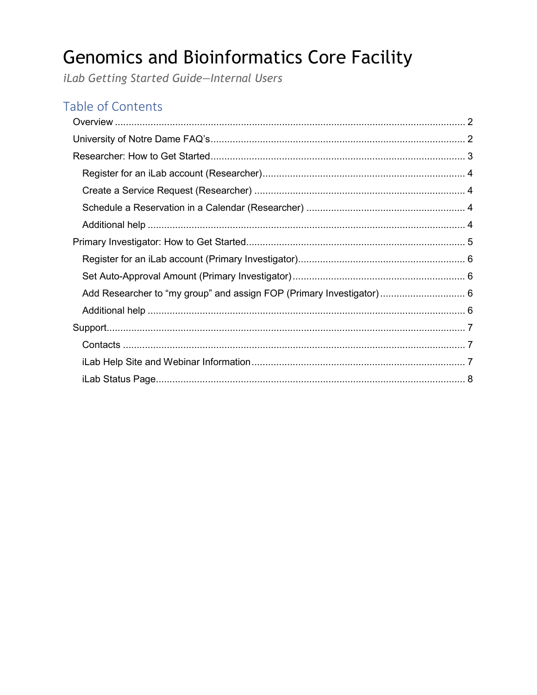# <span id="page-0-0"></span>**Genomics and Bioinformatics Core Facility**

iLab Getting Started Guide-Internal Users

# Table of Contents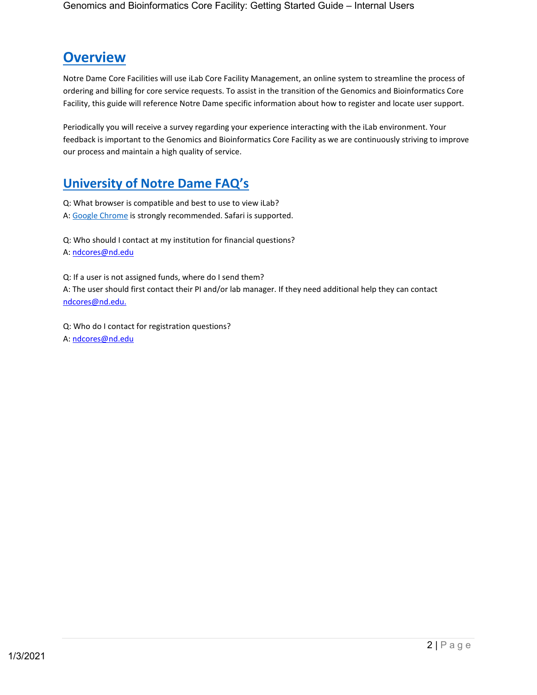# <span id="page-1-0"></span>**[Overview](#page-0-0)**

Notre Dame Core Facilities will use iLab Core Facility Management, an online system to streamline the process of ordering and billing for core service requests. To assist in the transition of the Genomics and Bioinformatics Core Facility, this guide will reference Notre Dame specific information about how to register and locate user support.

Periodically you will receive a survey regarding your experience interacting with the iLab environment. Your feedback is important to the Genomics and Bioinformatics Core Facility as we are continuously striving to improve our process and maintain a high quality of service.

### <span id="page-1-1"></span>**[University of Notre Dame FAQ's](#page-1-1)**

Q: What browser is compatible and best to use to view iLab?

A[: Google Chrome](https://www.google.com/chrome/?brand=FHFK&gclsrc=aw.ds&&gclid=Cj0KCQiA88X_BRDUARIsACVMYD8gBBBX3vt58tkqgpAI7YJFYAxkusK0_CXo-1f0aNvmsXGazExacakaAsL9EALw_wcB) is strongly recommended. Safari is supported.

Q: Who should I contact at my institution for financial questions? A[: ndcores@nd.edu](mailto:ndcores@nd.edu)

Q: If a user is not assigned funds, where do I send them? A: The user should first contact their PI and/or lab manager. If they need additional help they can contact [ndcores@nd.edu.](mailto:ndcores@nd.edu)

Q: Who do I contact for registration questions? A[: ndcores@nd.edu](mailto:ndcores@nd.edu)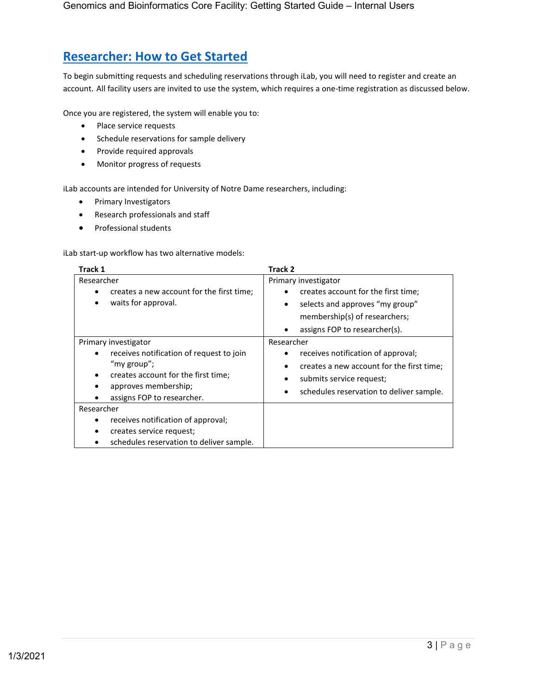# <span id="page-2-0"></span>**[Researcher: How to Get Started](#page-2-0)**

To begin submitting requests and scheduling reservations through iLab, you will need to register and create an account. All facility users are invited to use the system, which requires a one-time registration as discussed below.

Once you are registered, the system will enable you to:

- Place service requests
- Schedule reservations for sample delivery
- Provide required approvals
- Monitor progress of requests

iLab accounts are intended for University of Notre Dame researchers, including:

- Primary Investigators
- Research professionals and staff
- Professional students

iLab start-up workflow has two alternative models:

| Track 1                                                                                                                                                                                                          | Track 2                                                                                                                                                                                    |
|------------------------------------------------------------------------------------------------------------------------------------------------------------------------------------------------------------------|--------------------------------------------------------------------------------------------------------------------------------------------------------------------------------------------|
| Researcher<br>creates a new account for the first time;<br>$\bullet$<br>waits for approval.<br>٠                                                                                                                 | Primary investigator<br>creates account for the first time;<br>$\bullet$<br>selects and approves "my group"<br>$\bullet$<br>membership(s) of researchers;<br>assigns FOP to researcher(s). |
| Primary investigator<br>receives notification of request to join<br>٠<br>"my group";<br>creates account for the first time;<br>٠<br>approves membership;<br>$\bullet$<br>assigns FOP to researcher.<br>$\bullet$ | Researcher<br>receives notification of approval;<br>creates a new account for the first time;<br>٠<br>submits service request;<br>٠<br>schedules reservation to deliver sample.<br>٠       |
| Researcher<br>receives notification of approval;<br>٠<br>creates service request;<br>$\bullet$<br>schedules reservation to deliver sample.                                                                       |                                                                                                                                                                                            |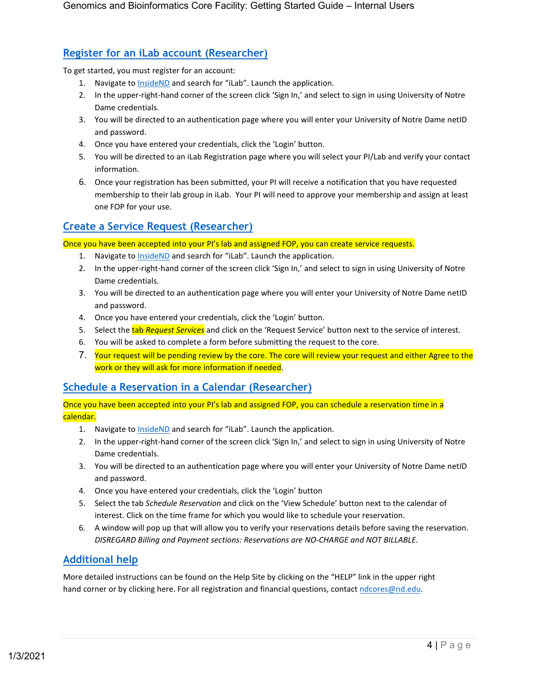### <span id="page-3-0"></span>**Register for an [iLab account \(Researcher\)](#page-5-0)**

To get started, you must register for an account:

- 1. Navigate to [InsideND](https://inside.nd.edu/) and search for "iLab". Launch the application.
- 2. In the upper-right-hand corner of the screen click 'Sign In,' and select to sign in using University of Notre Dame credentials.
- 3. You will be directed to an authentication page where you will enter your University of Notre Dame netID and password.
- 4. Once you have entered your credentials, click the 'Login' button.
- 5. You will be directed to an iLab Registration page where you will select your PI/Lab and verify your contact information.
- 6. Once your registration has been submitted, your PI will receive a notification that you have requested membership to their lab group in iLab. Your PI will need to approve your membership and assign at least one FOP for your use.

### <span id="page-3-1"></span>**[Create a Service Request \(Researcher\)](#page-3-1)**

Once you have been accepted into your PI's lab and assigned FOP, you can create service requests.

- 1. Navigate to [InsideND](https://inside.nd.edu/) and search for "iLab". Launch the application.
- 2. In the upper-right-hand corner of the screen click 'Sign In,' and select to sign in using University of Notre Dame credentials.
- 3. You will be directed to an authentication page where you will enter your University of Notre Dame netID and password.
- 4. Once you have entered your credentials, click the 'Login' button.
- 5. Select the tab *Request Services* and click on the 'Request Service' button next to the service of interest.
- 6. You will be asked to complete a form before submitting the request to the core.
- 7. Your request will be pending review by the core. The core will review your request and either Agree to the work or they will ask for more information if needed.

### <span id="page-3-2"></span>**Schedule a Reservation [in a Calendar \(Researcher\)](#page-3-2)**

Once you have been accepted into your PI's lab and assigned FOP, you can schedule a reservation time in a calendar.

- 1. Navigate to [InsideND](https://inside.nd.edu/) and search for "iLab". Launch the application.
- 2. In the upper-right-hand corner of the screen click 'Sign In,' and select to sign in using University of Notre Dame credentials.
- 3. You will be directed to an authentication page where you will enter your University of Notre Dame netID and password.
- 4. Once you have entered your credentials, click the 'Login' button
- 5. Select the tab *Schedule Reservation* and click on the 'View Schedule' button next to the calendar of interest. Click on the time frame for which you would like to schedule your reservation.
- 6. A window will pop up that will allow you to verify your reservations details before saving the reservation. *DISREGARD Billing and Payment sections: Reservations are NO-CHARGE and NOT BILLABLE.*

### <span id="page-3-3"></span>**[Additional help](#page-3-3)**

More detailed instructions can be found on the Help Site by clicking on the "HELP" link in the upper right hand corner or by [clicking here.](https://help.ilab.agilent.com/37179-using-a-core/264646-using-a-core-overview) For all registration and financial questions, contact [ndcores@nd.edu.](mailto:ndcores@nd.edu)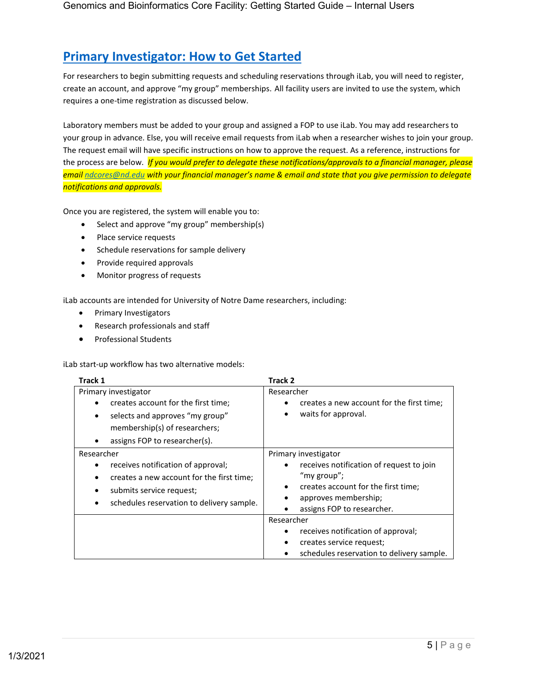### <span id="page-4-0"></span>**[Primary Investigator: How to Get Started](#page-4-0)**

For researchers to begin submitting requests and scheduling reservations through iLab, you will need to register, create an account, and approve "my group" memberships. All facility users are invited to use the system, which requires a one-time registration as discussed below.

Laboratory members must be added to your group and assigned a FOP to use iLab. You may add researchers to your group in advance. Else, you will receive email requests from iLab when a researcher wishes to join your group. The request email will have specific instructions on how to approve the request. As a reference, instructions for the process are below. *If you would prefer to delegate these notifications/approvals to a financial manager, please emai[l ndcores@nd.edu](mailto:ndcores@nd.edu) with your financial manager's name & email and state that you give permission to delegate notifications and approvals.*

Once you are registered, the system will enable you to:

- Select and approve "my group" membership(s)
- Place service requests
- Schedule reservations for sample delivery
- Provide required approvals
- Monitor progress of requests

iLab accounts are intended for University of Notre Dame researchers, including:

- Primary Investigators
- Research professionals and staff
- Professional Students

iLab start-up workflow has two alternative models:

| Track 1                                                                                                                                                                                            | Track 2                                                                                                                                                                                |
|----------------------------------------------------------------------------------------------------------------------------------------------------------------------------------------------------|----------------------------------------------------------------------------------------------------------------------------------------------------------------------------------------|
| Primary investigator<br>creates account for the first time;<br>selects and approves "my group"<br>٠<br>membership(s) of researchers;<br>assigns FOP to researcher(s).<br>$\bullet$                 | Researcher<br>creates a new account for the first time;<br>waits for approval.                                                                                                         |
| Researcher<br>receives notification of approval;<br>٠<br>creates a new account for the first time;<br>$\bullet$<br>submits service request;<br>٠<br>schedules reservation to delivery sample.<br>٠ | Primary investigator<br>receives notification of request to join<br>٠<br>"my group";<br>creates account for the first time;<br>٠<br>approves membership;<br>assigns FOP to researcher. |
|                                                                                                                                                                                                    | Researcher<br>receives notification of approval;<br>٠<br>creates service request;<br>٠<br>schedules reservation to delivery sample.                                                    |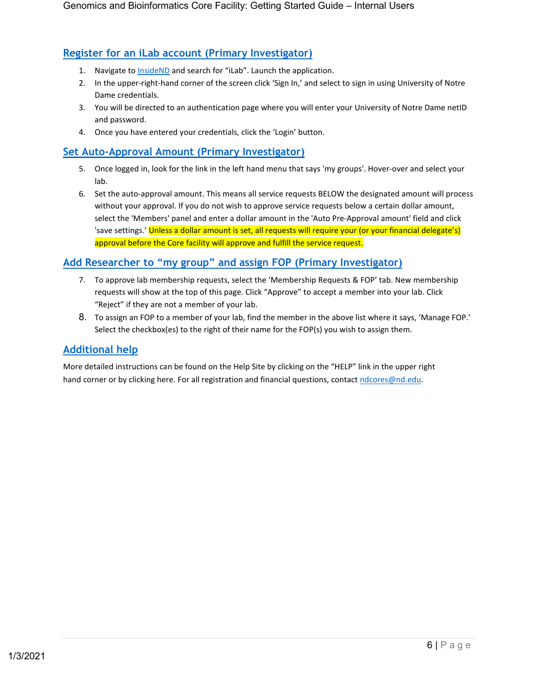### <span id="page-5-0"></span>**[Register for an iLab account \(Primary Investigator\)](#page-5-0)**

- 1. Navigate to **InsideND** and search for "iLab". Launch the application.
- 2. In the upper-right-hand corner of the screen click 'Sign In,' and select to sign in using University of Notre Dame credentials.
- 3. You will be directed to an authentication page where you will enter your University of Notre Dame netID and password.
- 4. Once you have entered your credentials, click the 'Login' button.

### <span id="page-5-1"></span>**[Set Auto-Approval Amount \(Primary Investigator\)](#page-5-1)**

- 5. Once logged in, look for the link in the left hand menu that says 'my groups'. Hover-over and select your lab.
- 6. Set the auto-approval amount. This means all service requests BELOW the designated amount will process without your approval. If you do not wish to approve service requests below a certain dollar amount, select the 'Members' panel and enter a dollar amount in the 'Auto Pre-Approval amount' field and click 'save settings.' Unless a dollar amount is set, all requests will require your (or your financial delegate's) approval before the Core facility will approve and fulfill the service request.

### <span id="page-5-2"></span>**[Add Researcher to "my group" and assign FOP \(Primary Investigator\)](#page-5-2)**

- 7. To approve lab membership requests, select the 'Membership Requests & FOP' tab. New membership requests will show at the top of this page. Click "Approve" to accept a member into your lab. Click "Reject" if they are not a member of your lab.
- 8. To assign an FOP to a member of your lab, find the member in the above list where it says, 'Manage FOP.' Select the checkbox(es) to the right of their name for the FOP(s) you wish to assign them.

#### <span id="page-5-3"></span>**[Additional help](#page-5-3)**

More detailed instructions can be found on the Help Site by clicking on the "HELP" link in the upper right hand corner or by [clicking here.](https://help.ilab.agilent.com/37179-using-a-core/264646-using-a-core-overview) For all registration and financial questions, contac[t ndcores@nd.edu.](mailto:ndcores@nd.edu)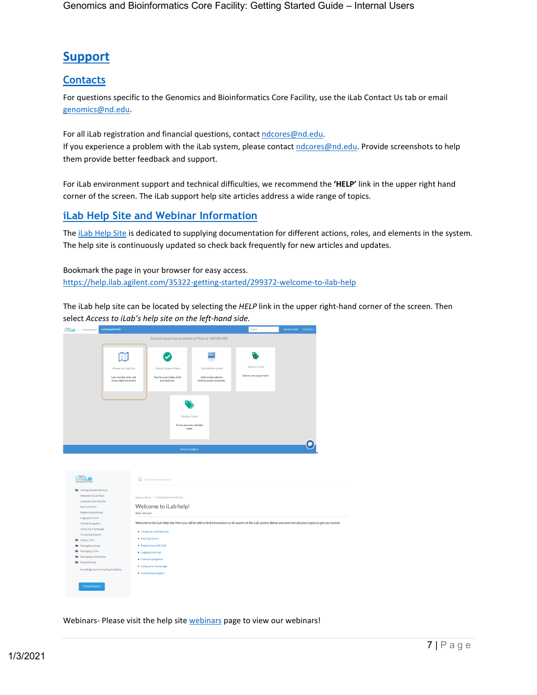### <span id="page-6-0"></span>**[Support](#page-6-0)**

### <span id="page-6-1"></span>**[Contacts](#page-6-3)**

For questions specific to the Genomics and Bioinformatics Core Facility, use the iLab Contact Us tab or email [genomics@nd.edu.](mailto:genomics@nd.edu)

For all iLab registration and financial questions, contac[t ndcores@nd.edu.](mailto:ndcores@nd.edu) If you experience a problem with the iLab system, please contac[t ndcores@nd.edu.](mailto:ndcores@nd.edu) Provide screenshots to help them provide better feedback and support.

<span id="page-6-3"></span>For iLab environment support and technical difficulties, we recommend the **'HELP'** link in the upper right hand corner of the screen. The iLab support help site articles address a wide range of topics.

### <span id="page-6-2"></span>**[iLab Help Site and Webinar Information](#page-6-3)**

Th[e iLab Help Site](https://help.ilab.agilent.com/35322-getting-started/299372-welcome-to-ilab-help) is dedicated to supplying documentation for different actions, roles, and elements in the system. The help site is continuously updated so check back frequently for new articles and updates.

Bookmark the page in your browser for easy access. <https://help.ilab.agilent.com/35322-getting-started/299372-welcome-to-ilab-help>

The iLab help site can be located by selecting the *HELP* link in the upper right-hand corner of the screen. Then select *Access to iLab's help site on the left-hand side.*



Webinars- Please visit the help site [webinars](https://ilab.helpjuice.com/51282-webinars/351712-upcoming-webinars) page to view our webinars!